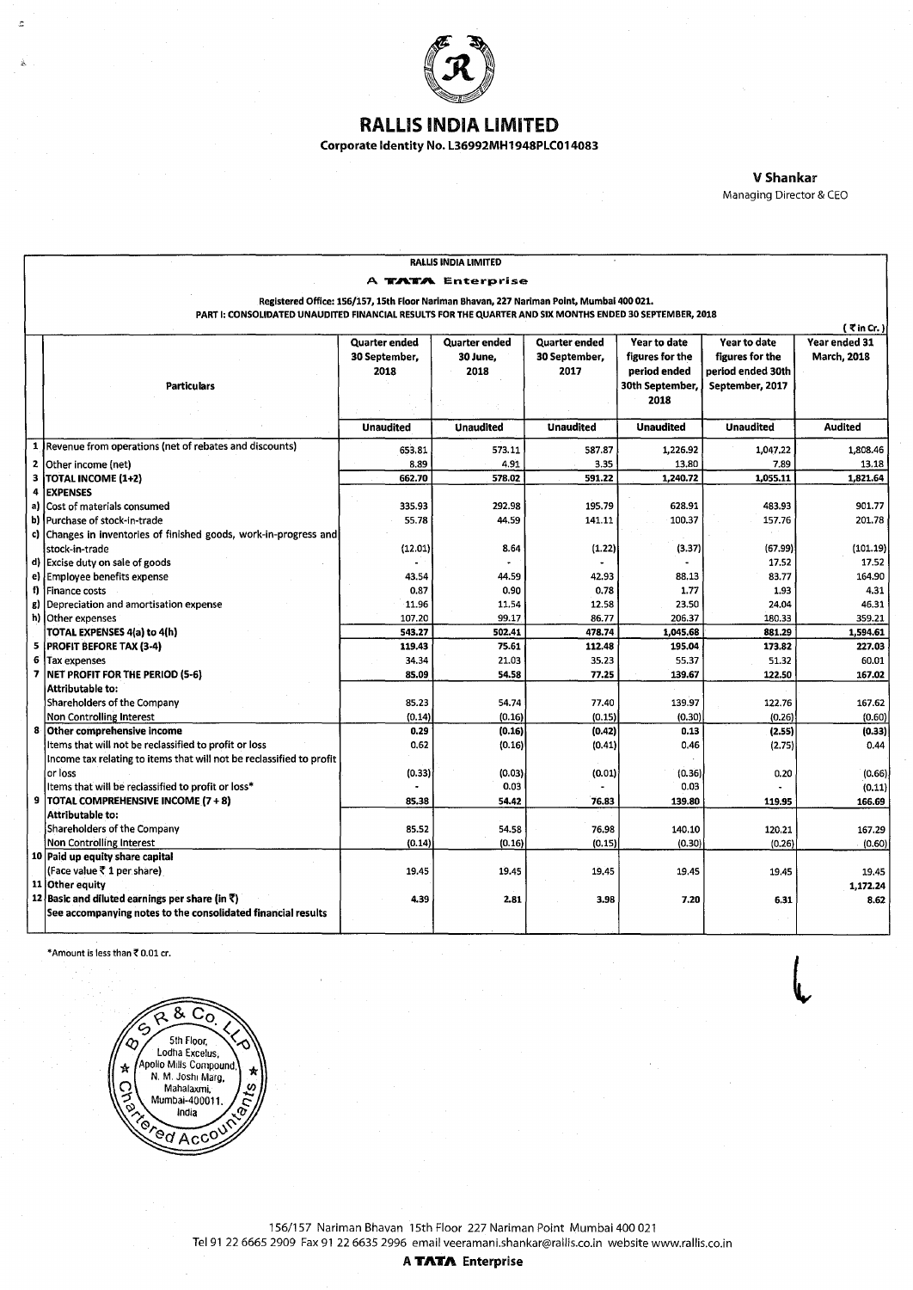

## RAlliS INDIA liMITED

Corporate Identity No. l36992MH 1948PLC014083

V Shankar Managing Director & CEO

l

| RALLIS INDIA LIMITED                                                                                     |                                                                      |                      |                      |                  |                   |                   |                    |  |  |  |
|----------------------------------------------------------------------------------------------------------|----------------------------------------------------------------------|----------------------|----------------------|------------------|-------------------|-------------------|--------------------|--|--|--|
| A <b>TATA</b> Enterprise                                                                                 |                                                                      |                      |                      |                  |                   |                   |                    |  |  |  |
| Registered Office: 156/157, 15th Floor Nariman Bhavan, 227 Nariman Point, Mumbai 400 021.                |                                                                      |                      |                      |                  |                   |                   |                    |  |  |  |
| PART I: CONSOLIDATED UNAUDITED FINANCIAL RESULTS FOR THE QUARTER AND SIX MONTHS ENDED 30 SEPTEMBER, 2018 |                                                                      |                      |                      |                  |                   |                   |                    |  |  |  |
| $($ $\vec{\tau}$ in Cr. $)$                                                                              |                                                                      |                      |                      |                  |                   |                   |                    |  |  |  |
|                                                                                                          |                                                                      | <b>Quarter ended</b> | <b>Quarter ended</b> | Quarter ended    | Year to date      | Year to date      | Year ended 31      |  |  |  |
|                                                                                                          |                                                                      | 30 September,        | 30 June,             | 30 September,    | figures for the   | figures for the   | <b>March, 2018</b> |  |  |  |
|                                                                                                          |                                                                      | 2018                 | 2018                 | 2017             | period ended      | period ended 30th |                    |  |  |  |
|                                                                                                          | <b>Particulars</b>                                                   |                      |                      |                  | 30th September,   | September, 2017   |                    |  |  |  |
|                                                                                                          |                                                                      |                      |                      |                  | 2018              |                   |                    |  |  |  |
|                                                                                                          |                                                                      | <b>Unaudited</b>     | <b>Unaudited</b>     | <b>Unaudited</b> | <b>Unaudited</b>  | <b>Unaudited</b>  | <b>Audited</b>     |  |  |  |
| 1                                                                                                        | Revenue from operations (net of rebates and discounts)               |                      |                      |                  |                   |                   |                    |  |  |  |
| $\mathbf{z}$                                                                                             | Other income (net)                                                   | 653.81<br>8.89       | 573.11<br>4.91       | 587.87<br>3.35   | 1,226.92<br>13.80 | 1,047.22<br>7.89  | 1,808.46<br>13.18  |  |  |  |
| $\overline{\mathbf{3}}$                                                                                  | <b>TOTAL INCOME (1+2)</b>                                            | 662.70               | 578.02               | 591.22           | 1,240.72          | 1,055.11          | 1,821.64           |  |  |  |
| 4                                                                                                        | <b>EXPENSES</b>                                                      |                      |                      |                  |                   |                   |                    |  |  |  |
| a)                                                                                                       | Cost of materials consumed                                           | 335.93               | 292.98               | 195.79           | 628.91            | 483.93            | 901.77             |  |  |  |
| b)                                                                                                       | Purchase of stock-in-trade                                           | 55.78                | 44.59                | 141.11           | 100.37            | 157.76            | 201.78             |  |  |  |
|                                                                                                          | c) Changes in inventories of finished goods, work-in-progress and    |                      |                      |                  |                   |                   |                    |  |  |  |
|                                                                                                          | stock-in-trade                                                       | (12.01)              | 8.64                 | (1.22)           | (3.37)            | (67.99)           | (101.19)           |  |  |  |
|                                                                                                          | d) Excise duty on sale of goods                                      |                      |                      |                  |                   | 17.52             | 17.52              |  |  |  |
|                                                                                                          | e) Employee benefits expense                                         | 43.54                | 44.59                | 42.93            | 88.13             | 83.77             | 164.90             |  |  |  |
| f)                                                                                                       | Finance costs                                                        | 0.87                 | 0.90                 | 0.78             | 1.77              | 1.93              | 4.31               |  |  |  |
| g)                                                                                                       | Depreciation and amortisation expense                                | 11.96                | 11.54                | 12.58            | 23.50             | 24.04             | 46.31              |  |  |  |
|                                                                                                          | h) Other expenses                                                    | 107.20               | 99.17                | 86.77            | 206.37            | 180.33            | 359.21             |  |  |  |
|                                                                                                          | TOTAL EXPENSES 4(a) to 4(h)                                          | 543.27               | 502.41               | 478.74           | 1,045.68          | 881.29            | 1,594.61           |  |  |  |
| 5                                                                                                        | <b>PROFIT BEFORE TAX (3-4)</b>                                       | 119.43               | 75.61                | 112.48           | 195.04            | 173.82            | 227.03             |  |  |  |
| 6                                                                                                        | Tax expenses                                                         | 34.34                | 21.03                | 35.23            | 55,37             | 51.32             | 60.01              |  |  |  |
| $\overline{ }$                                                                                           | NET PROFIT FOR THE PERIOD (5-6)                                      | 85.09                | 54.58                | 77.25            | 139.67            | 122.50            | 167.02             |  |  |  |
|                                                                                                          | Attributable to:                                                     |                      |                      |                  |                   |                   |                    |  |  |  |
|                                                                                                          | Shareholders of the Company                                          | 85.23                | 54.74                | 77.40            | 139.97            | 122.76            | 167.62             |  |  |  |
|                                                                                                          | Non Controlling Interest<br>8 Other comprehensive income             | (0.14)<br>0.29       | (0.16)               | (0.15)           | (0.30)<br>0.13    | (0.26)            | (0.60)             |  |  |  |
|                                                                                                          | Items that will not be reclassified to profit or loss                | 0.62                 | (0.16)<br>(0.16)     | (0.42)<br>(0.41) | 0.46              | (2.55)<br>(2.75)  | (0.33)<br>0.44     |  |  |  |
|                                                                                                          | Income tax relating to items that will not be reclassified to profit |                      |                      |                  |                   |                   |                    |  |  |  |
|                                                                                                          | or loss                                                              | (0.33)               | (0.03)               | (0.01)           | (0.36)            | 0.20              | (0.66)             |  |  |  |
|                                                                                                          | Items that will be reclassified to profit or loss*                   |                      | 0.03                 |                  | 0.03              |                   | (0.11)             |  |  |  |
|                                                                                                          | 9   TOTAL COMPREHENSIVE INCOME (7 + 8)                               | 85.38                | 54.42                | 76.83            | 139.80            | 119.95            | 166.69             |  |  |  |
|                                                                                                          | Attributable to:                                                     |                      |                      |                  |                   |                   |                    |  |  |  |
|                                                                                                          | Shareholders of the Company                                          | 85.52                | 54.58                | 76.98            | 140.10            | 120.21            | 167.29             |  |  |  |
|                                                                                                          | Non Controlling Interest                                             | (0.14)               | (0.16)               | (0.15)           | (0.30)            | (0.26)            | (0.60)             |  |  |  |
|                                                                                                          | 10 Paid up equity share capital                                      |                      |                      |                  |                   |                   |                    |  |  |  |
|                                                                                                          | (Face value ₹ 1 per share)                                           | 19.45                | 19.45                | 19,45            | 19.45             | 19.45             | 19.45              |  |  |  |
|                                                                                                          | 11 Other equity                                                      |                      |                      |                  |                   |                   | 1,172.24           |  |  |  |
|                                                                                                          | 12 Basic and diluted earnings per share (in $\bar{x}$ )              | 4.39                 | 2.81                 | 3.98             | 7.20              | 6.31              | 8.62               |  |  |  |
|                                                                                                          | See accompanying notes to the consolidated financial results         |                      |                      |                  |                   |                   |                    |  |  |  |
|                                                                                                          |                                                                      |                      |                      |                  |                   |                   |                    |  |  |  |

\*Amount is less than  $*$  0.01 cr.

 $\overline{z}$ 



156/157 Nariman Bhavan 15th Floor 227 Nariman Point Mumbai 400 021 Tel 91 22 6665 2909 Fax 91 22 6635 2996 email veeramani.shankar@rallis.co.in website www.rallis.co.in

A **TATA** Enterprise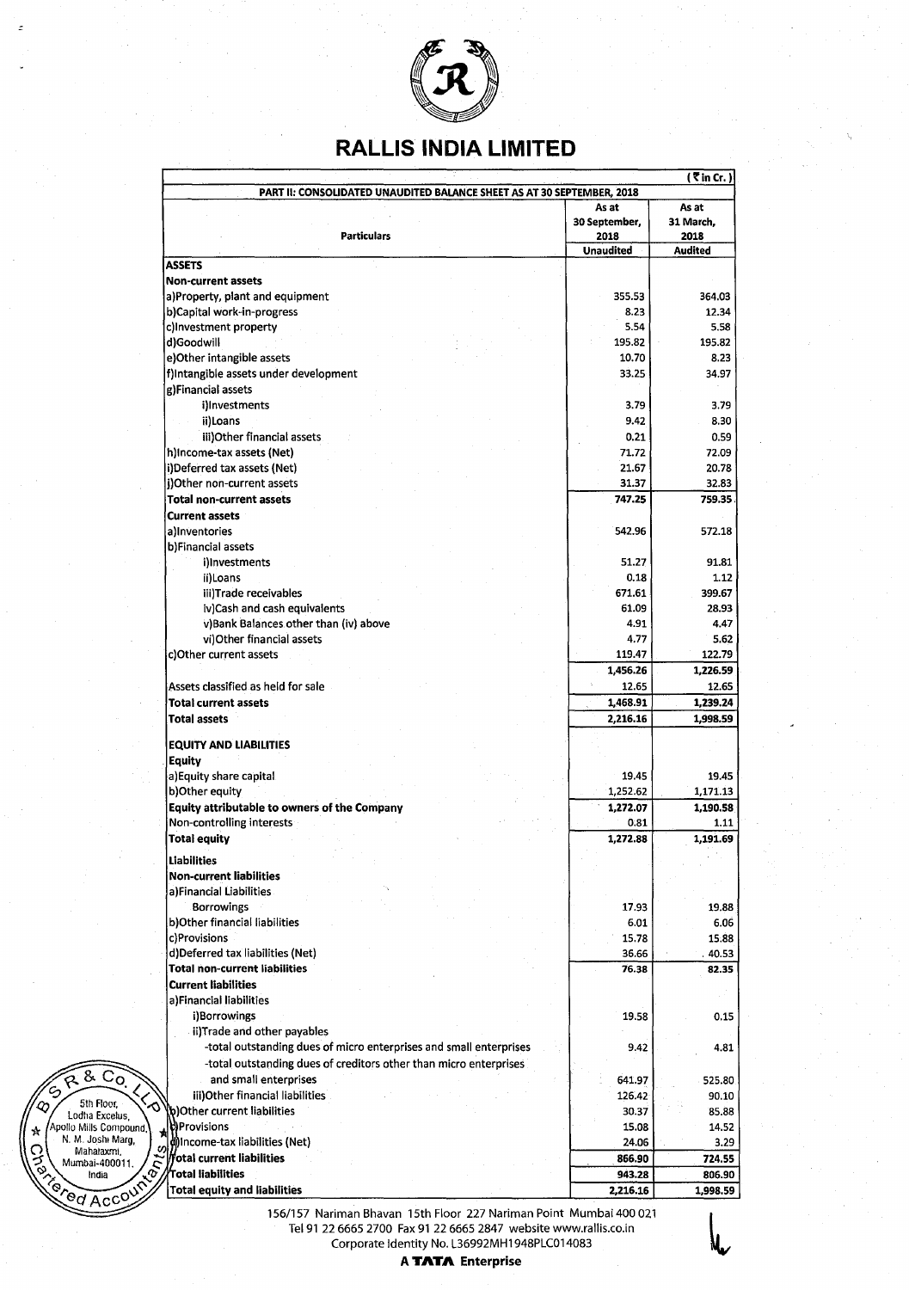

## **RALLIS INDIA LIMITED**

|                                               |                                                                        |                       | $($ $\overline{\mathbf{c}}$ in Cr. |
|-----------------------------------------------|------------------------------------------------------------------------|-----------------------|------------------------------------|
|                                               | PART II: CONSOLIDATED UNAUDITED BALANCE SHEET AS AT 30 SEPTEMBER, 2018 |                       |                                    |
|                                               |                                                                        | As at                 | As at                              |
|                                               | <b>Particulars</b>                                                     | 30 September,<br>2018 | 31 March,<br>2018                  |
|                                               |                                                                        | <b>Unaudited</b>      | <b>Audited</b>                     |
|                                               | <b>ASSETS</b>                                                          |                       |                                    |
|                                               | <b>Non-current assets</b>                                              |                       |                                    |
|                                               | a)Property, plant and equipment                                        | 355.53                | 364.03                             |
|                                               | b)Capital work-in-progress                                             | 8.23                  | 12.34                              |
|                                               | c)Investment property                                                  | 5.54                  | 5.58                               |
|                                               | d)Goodwill                                                             | 195.82                | 195.82                             |
|                                               | e)Other intangible assets                                              | 10.70                 | 8.23                               |
|                                               | f)Intangible assets under development                                  | 33.25                 | 34.97                              |
|                                               | g)Financial assets                                                     |                       |                                    |
|                                               | i)Investments                                                          | 3.79<br>9.42          | 3.79<br>8.30                       |
|                                               | ii)Loans<br>iii) Other financial assets                                | 0.21                  | 0.59                               |
|                                               | h)Income-tax assets (Net)                                              | 71.72                 | 72.09                              |
|                                               | i)Deferred tax assets (Net)                                            | 21.67                 | 20.78                              |
|                                               | j)Other non-current assets                                             | 31.37                 | 32.83                              |
|                                               | <b>Total non-current assets</b>                                        | 747.25                | 759.35                             |
|                                               | <b>Current assets</b>                                                  |                       |                                    |
|                                               | a)Inventories                                                          | 542.96                | 572.18                             |
|                                               | b)Financial assets                                                     |                       |                                    |
|                                               | i)Investments                                                          | 51.27                 | 91.81                              |
|                                               | ii)Loans                                                               | 0.18                  | 1.12                               |
|                                               | iii)Trade receivables                                                  | 671.61                | 399.67                             |
|                                               | iv)Cash and cash equivalents                                           | 61.09                 | 28.93                              |
|                                               | v)Bank Balances other than (iv) above                                  | 4.91                  | 4.47                               |
|                                               | vi)Other financial assets                                              | 4.77                  | 5.62                               |
|                                               | c)Other current assets                                                 | 119.47                | 122.79                             |
|                                               |                                                                        | 1,456.26              | 1,226.59                           |
|                                               | Assets classified as held for sale                                     | 12.65                 | 12.65                              |
|                                               | <b>Total current assets</b>                                            | 1,468.91              | 1,239.24                           |
|                                               | <b>Total assets</b>                                                    | 2,216.16              | 1,998.59                           |
|                                               | <b>EQUITY AND LIABILITIES</b>                                          |                       |                                    |
|                                               | Equity                                                                 |                       |                                    |
|                                               | a) Equity share capital                                                | 19.45                 | 19.45                              |
|                                               | b)Other equity                                                         | 1,252.62              | 1,171.13                           |
|                                               | Equity attributable to owners of the Company                           | 1,272.07              | 1,190.58                           |
|                                               | Non-controlling interests                                              | 0.81                  | 1.11                               |
|                                               | <b>Total equity</b>                                                    | 1,272.88              | 1,191.69                           |
|                                               | <b>Liabilities</b>                                                     |                       |                                    |
|                                               | <b>Non-current liabilities</b>                                         |                       |                                    |
|                                               | a)Financial Liabilities                                                |                       |                                    |
|                                               | <b>Borrowings</b>                                                      | 17.93                 | 19.88                              |
|                                               | b)Other financial liabilities                                          | 6.01                  | 6.06                               |
|                                               | c)Provisions                                                           | 15.78                 | 15.88                              |
|                                               | d)Deferred tax liabilities (Net)                                       | 36.66                 | 40.53                              |
|                                               | <b>Total non-current liabilities</b><br><b>Current liabilities</b>     | 76.38                 | 82.35                              |
|                                               | a)Financial liabilities                                                |                       |                                    |
|                                               | i)Borrowings                                                           | 19.58                 | 0.15                               |
|                                               | ii)Trade and other payables                                            |                       |                                    |
|                                               | -total outstanding dues of micro enterprises and small enterprises     | 9.42                  | 4.81                               |
|                                               | -total outstanding dues of creditors other than micro enterprises      |                       |                                    |
| $&$ $C_0$                                     | and small enterprises                                                  | 641.97                | 525.80                             |
|                                               | iii) Other financial liabilities                                       | 126.42                | 90.10                              |
| $\zeta$<br>5th Floor,<br>Lodha Excelus        | b)Other current liabilities                                            | 30.37                 | 85.88                              |
| Apollo Mills Compound<br>☆                    | <b>DProvisions</b>                                                     | 15.08                 | 14.52                              |
| N. M. Joshi Marg.                             | 侞Income-tax liabilities (Net)                                          | 24.06                 | 3.29                               |
| Ø<br>C. Holen<br>Mahalaxmi,<br>Mumbai-400011. | fotal current liabilities                                              | 866.90                | 724.55                             |
| OUNTIE A<br>India                             | Total liabilities                                                      | 943.28                | 806.90                             |
|                                               | <b>Total equity and liabilities</b>                                    | 2,216.16              | 1,998.59                           |

156/157 Nariman Bhavan 15th Floor 227 Nariman Point Mumbai 400 021 Tel91 22 6665 2700 Fax 91 22 6665 2847 website www.rallis.co.in Corporate Identity No. L36992MH 1948PLC014083

 $\Vert$  ,

**C**<br>**C**od Acco